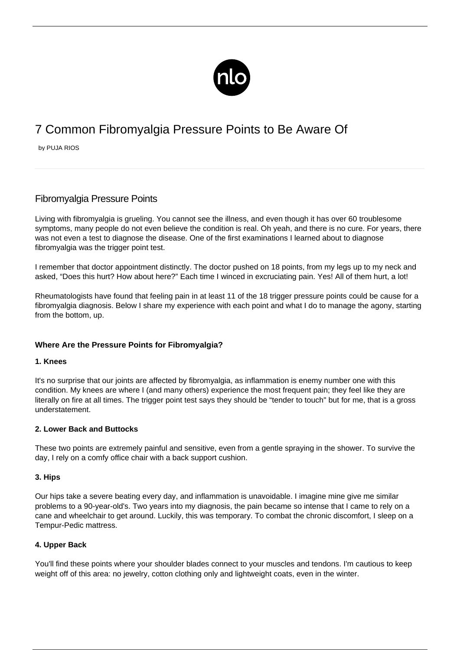

# 7 Common Fibromyalgia Pressure Points to Be Aware Of

by PUJA RIOS

# Fibromyalgia Pressure Points

Living with fibromyalgia is grueling. You cannot see the illness, and even though it has over 60 troublesome [symptoms,](/symptoms-of-fibromyalgia/) many people do not even believe the condition is real. Oh yeah, and there is no cure. For years, there was not even a test to diagnose the disease. One of the first examinations I learned about to diagnose fibromyalgia was the trigger point test.

I remember that doctor appointment distinctly. The doctor pushed on 18 points, from my legs up to my neck and asked, "Does this hurt? How about here?" Each time I winced in excruciating pain. Yes! All of them hurt, a lot!

Rheumatologists have found that feeling pain in at least 11 of the 18 trigger pressure points could be cause for a fibromyalgia diagnosis. Below I share my experience with each point and what I do to manage the agony, starting from the bottom, up.

# **Where Are the Pressure Points for Fibromyalgia?**

#### **1. Knees**

It's no surprise that our joints are affected by fibromyalgia, as inflammation is enemy number one with this condition. My knees are where I (and many others) experience the most frequent pain; they feel like they are literally on fire at all times. The trigger point test says they should be ["tender to touch"](/tender-points/) but for me, that is a gross understatement.

#### **2. Lower Back and Buttocks**

These two points are extremely painful and sensitive, even from a gentle spraying in the shower. To survive the day, I rely on a comfy office chair with a back support cushion.

#### **3. Hips**

Our hips take a severe beating every day, and inflammation is unavoidable. I imagine mine give me similar problems to a 90-year-old's. Two years into my diagnosis, the pain became so intense that I came to rely on a cane and wheelchair to get around. Luckily, this was temporary. To combat the chronic discomfort, I sleep on a Tempur-Pedic mattress.

#### **4. Upper Back**

You'll find these points where your shoulder blades connect to your muscles and tendons. I'm cautious to keep weight off of this area: no jewelry, cotton clothing only and lightweight coats, even in the winter.